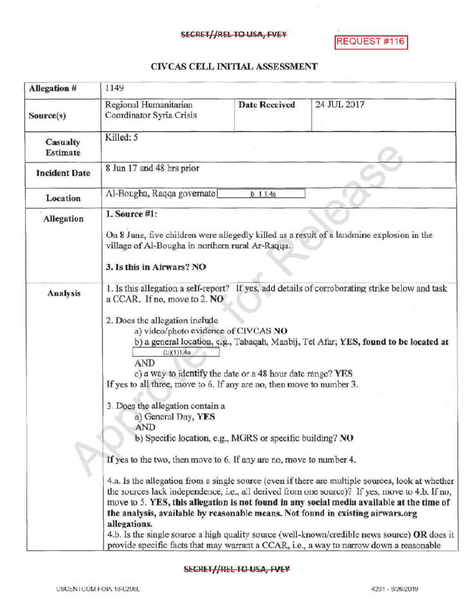## SECRET//REL TO USA, FVEY

REQUEST #116

## CIVCAS CELL INITIALASSESSMENT

| <b>Allegation #</b>  | 1149                                                                                                                                                                                                                                                                                                                                                                                                                                                                                                                                                                                                                                                                                                                                                                                                                                                                                                                                                                                                                                                                                                                                                                                                                                                                             |                      |             |
|----------------------|----------------------------------------------------------------------------------------------------------------------------------------------------------------------------------------------------------------------------------------------------------------------------------------------------------------------------------------------------------------------------------------------------------------------------------------------------------------------------------------------------------------------------------------------------------------------------------------------------------------------------------------------------------------------------------------------------------------------------------------------------------------------------------------------------------------------------------------------------------------------------------------------------------------------------------------------------------------------------------------------------------------------------------------------------------------------------------------------------------------------------------------------------------------------------------------------------------------------------------------------------------------------------------|----------------------|-------------|
| Source(s)            | Regional Humanitarian<br>Coordinator Syria Crisis                                                                                                                                                                                                                                                                                                                                                                                                                                                                                                                                                                                                                                                                                                                                                                                                                                                                                                                                                                                                                                                                                                                                                                                                                                | <b>Date Received</b> | 24 JUL 2017 |
| Casualty<br>Estimate | Killed: 5                                                                                                                                                                                                                                                                                                                                                                                                                                                                                                                                                                                                                                                                                                                                                                                                                                                                                                                                                                                                                                                                                                                                                                                                                                                                        |                      |             |
| <b>Incident Date</b> | 8 Jun 17 and 48 hrs prior                                                                                                                                                                                                                                                                                                                                                                                                                                                                                                                                                                                                                                                                                                                                                                                                                                                                                                                                                                                                                                                                                                                                                                                                                                                        |                      |             |
| Location             | Al-Bougha, Raqqa governate<br>$b$ 1 1.4a                                                                                                                                                                                                                                                                                                                                                                                                                                                                                                                                                                                                                                                                                                                                                                                                                                                                                                                                                                                                                                                                                                                                                                                                                                         |                      |             |
| <b>Allegation</b>    | 1. Source #1:<br>On 8 June, five children were allegedly killed as a result of a landmine explosion in the<br>village of Al-Bougha in northern rural Ar-Raqqa.<br>3. Is this in Airwars? NO                                                                                                                                                                                                                                                                                                                                                                                                                                                                                                                                                                                                                                                                                                                                                                                                                                                                                                                                                                                                                                                                                      |                      |             |
| <b>Analysis</b>      | 1. Is this allegation a self-report? If yes, add details of corroborating strike below and task<br>a CCAR. If no, move to 2. NO<br>2. Does the allegation include<br>a) video/photo evidence of CIVCAS NO<br>b) a general location, e.g., Tabaqah, Manbij, Tel Afar; YES, found to be located at<br>(b)(1)1.4a<br><b>AND</b><br>c) a way to identify the date or a 48 hour date range? YES<br>If yes to all three, move to 6. If any are no, then move to number 3.<br>3. Does the allegation contain a<br>a) General Day, YES<br><b>AND</b><br>b) Specific location, e.g., MGRS or specific building? NO<br>If yes to the two, then move to 6. If any are no, move to number 4.<br>4.a. Is the allegation from a single source (even if there are multiple sources, look at whether<br>the sources lack independence, i.e., all derived from one source)? If yes, move to 4.b. If no,<br>move to 5. YES, this allegation is not found in any social media available at the time of<br>the analysis, available by reasonable means. Not found in existing airwars.org<br>allegations.<br>4.b. Is the single source a high quality source (well-known/credible news source) OR does it<br>provide specific facts that may warrant a CCAR, i.e., a way to narrow down a reasonable |                      |             |